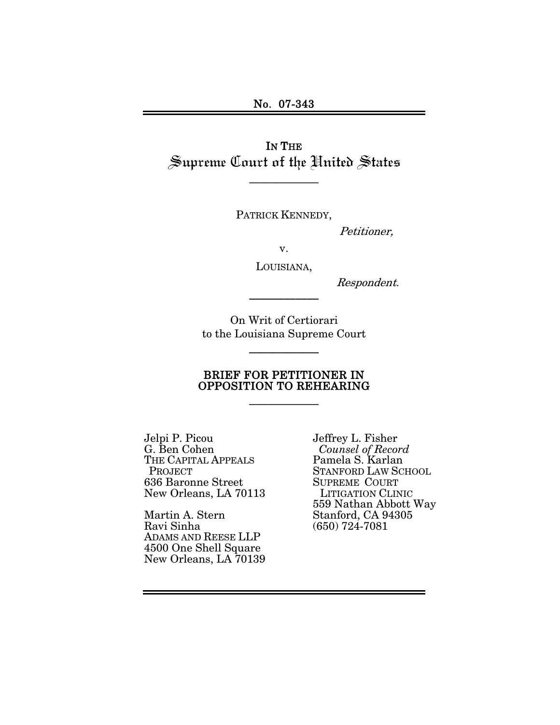IN THE Supreme Court of the United States

\_\_\_\_\_\_\_\_\_\_\_\_

PATRICK KENNEDY,

Petitioner,

v.

LOUISIANA,

\_\_\_\_\_\_\_\_\_\_\_\_

Respondent.

On Writ of Certiorari to the Louisiana Supreme Court

\_\_\_\_\_\_\_\_\_\_\_\_

### BRIEF FOR PETITIONER IN OPPOSITION TO REHEARING

\_\_\_\_\_\_\_\_\_\_\_\_

Jelpi P. Picou G. Ben Cohen THE CAPITAL APPEALS **PROJECT** 636 Baronne Street New Orleans, LA 70113

Martin A. Stern Ravi Sinha ADAMS AND REESE LLP 4500 One Shell Square New Orleans, LA 70139 Jeffrey L. Fisher  *Counsel of Record*  Pamela S. Karlan STANFORD LAW SCHOOL SUPREME COURT LITIGATION CLINIC 559 Nathan Abbott Way Stanford, CA 94305 (650) 724-7081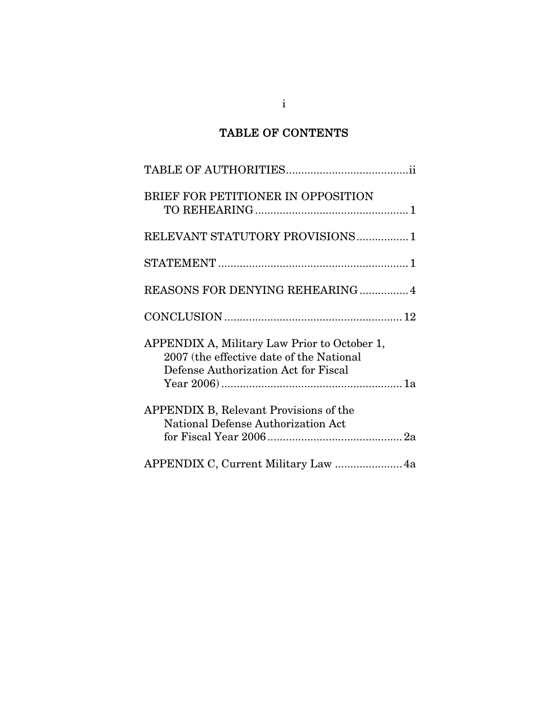## TABLE OF CONTENTS

| BRIEF FOR PETITIONER IN OPPOSITION                                                                                               |
|----------------------------------------------------------------------------------------------------------------------------------|
| RELEVANT STATUTORY PROVISIONS 1                                                                                                  |
|                                                                                                                                  |
| REASONS FOR DENYING REHEARING 4                                                                                                  |
|                                                                                                                                  |
| APPENDIX A, Military Law Prior to October 1,<br>2007 (the effective date of the National<br>Defense Authorization Act for Fiscal |
| <b>APPENDIX B, Relevant Provisions of the</b><br>National Defense Authorization Act                                              |
| APPENDIX C, Current Military Law  4a                                                                                             |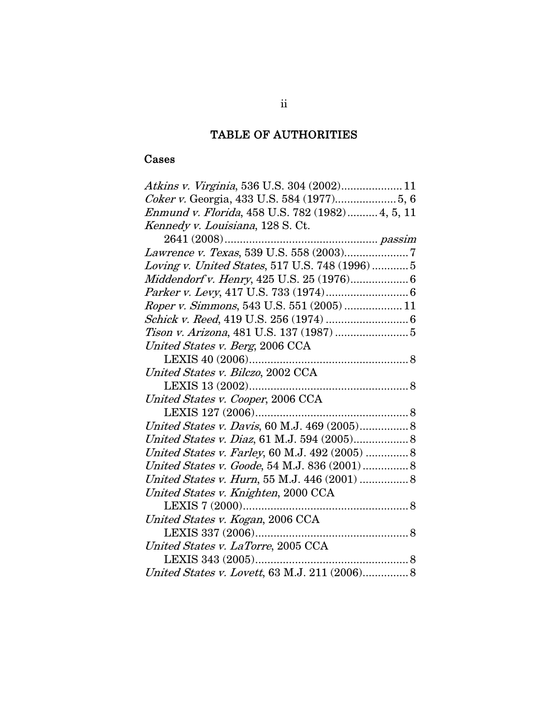# TABLE OF AUTHORITIES

## Cases

| Atkins v. Virginia, 536 U.S. 304 (2002) 11        |
|---------------------------------------------------|
|                                                   |
| Enmund v. Florida, 458 U.S. 782 (1982) 4, 5, 11   |
| Kennedy v. Louisiana, 128 S. Ct.                  |
|                                                   |
|                                                   |
| Loving v. United States, 517 U.S. 748 (1996)5     |
|                                                   |
|                                                   |
| <i>Roper v. Simmons</i> , 543 U.S. 551 (2005)  11 |
|                                                   |
|                                                   |
| United States v. Berg, 2006 CCA                   |
|                                                   |
| United States v. Bilczo, 2002 CCA                 |
|                                                   |
|                                                   |
| United States v. Cooper, 2006 CCA                 |
|                                                   |
| United States v. Davis, 60 M.J. 469 (2005) 8      |
| United States v. Diaz, 61 M.J. 594 (2005) 8       |
| United States v. Farley, 60 M.J. 492 (2005)  8    |
| United States v. Goode, 54 M.J. 836 (2001) 8      |
| United States v. Hurn, 55 M.J. 446 (2001)  8      |
| United States v. Knighten, 2000 CCA               |
| LEXIS 7 (2000)                                    |
| United States v. Kogan, 2006 CCA                  |
|                                                   |
| United States v. LaTorre, 2005 CCA                |
| LEXIS 343 (2005)                                  |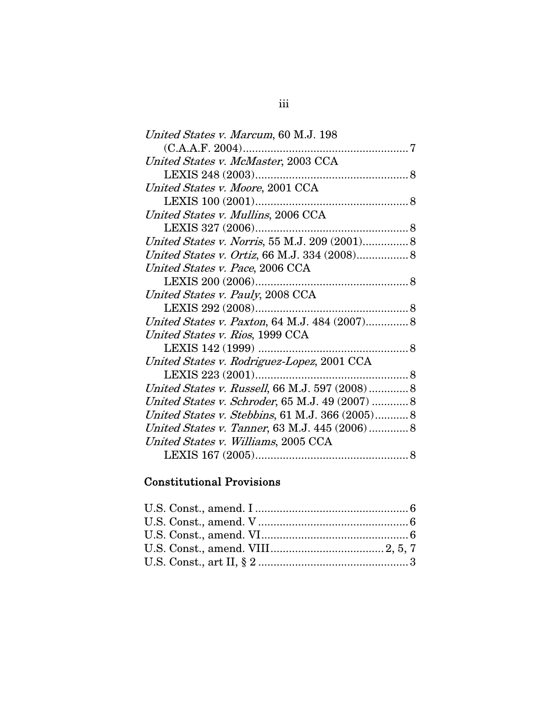| United States v. Marcum, 60 M.J. 198            |  |
|-------------------------------------------------|--|
|                                                 |  |
| United States v. McMaster, 2003 CCA             |  |
|                                                 |  |
| United States v. Moore, 2001 CCA                |  |
|                                                 |  |
| United States v. Mullins, 2006 CCA              |  |
|                                                 |  |
| United States v. Norris, 55 M.J. 209 (2001) 8   |  |
| United States v. Ortiz, 66 M.J. 334 (2008) 8    |  |
| United States v. Pace, 2006 CCA                 |  |
|                                                 |  |
| United States v. Pauly, 2008 CCA                |  |
|                                                 |  |
| United States v. Paxton, 64 M.J. 484 (2007) 8   |  |
| United States v. Rios, 1999 CCA                 |  |
|                                                 |  |
| United States v. Rodriguez-Lopez, 2001 CCA      |  |
|                                                 |  |
| United States v. Russell, 66 M.J. 597 (2008) 8  |  |
| United States v. Schroder, 65 M.J. 49 (2007)  8 |  |
| United States v. Stebbins, 61 M.J. 366 (2005) 8 |  |
| United States v. Tanner, 63 M.J. 445 (2006)  8  |  |
| United States v. Williams, 2005 CCA             |  |
|                                                 |  |
|                                                 |  |

#### Constitutional Provisions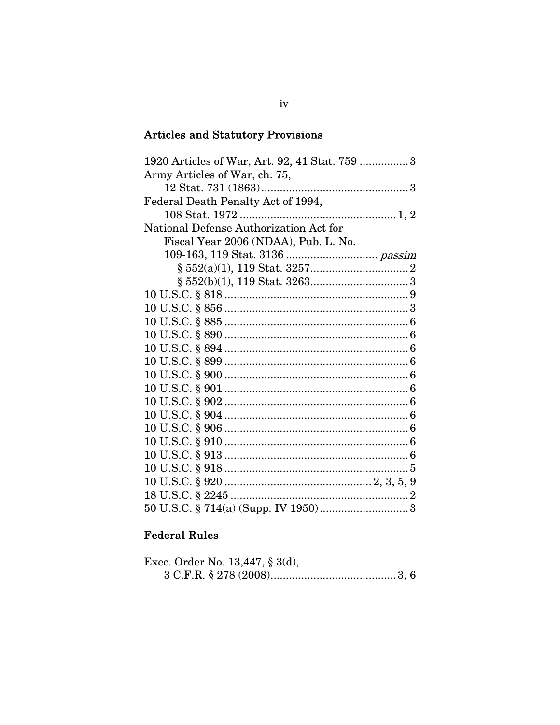# **Articles and Statutory Provisions**

| 1920 Articles of War, Art. 92, 41 Stat. 759 3 |
|-----------------------------------------------|
| Army Articles of War, ch. 75,                 |
|                                               |
| Federal Death Penalty Act of 1994,            |
|                                               |
| National Defense Authorization Act for        |
| Fiscal Year 2006 (NDAA), Pub. L. No.          |
|                                               |
|                                               |
|                                               |
|                                               |
|                                               |
|                                               |
|                                               |
|                                               |
|                                               |
|                                               |
|                                               |
|                                               |
|                                               |
|                                               |
|                                               |
|                                               |
|                                               |
|                                               |
|                                               |
|                                               |

## **Federal Rules**

| Exec. Order No. 13,447, § 3(d), |  |
|---------------------------------|--|
|                                 |  |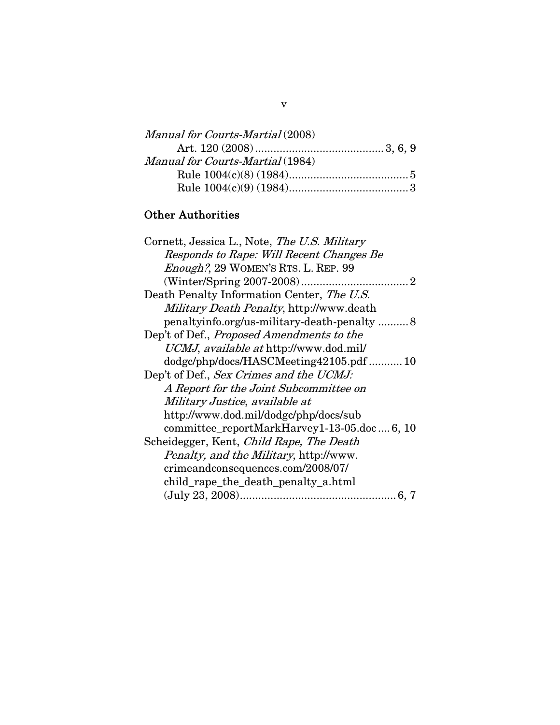| Manual for Courts-Martial (2008) |  |
|----------------------------------|--|
|                                  |  |
| Manual for Courts-Martial (1984) |  |
|                                  |  |
|                                  |  |

## Other Authorities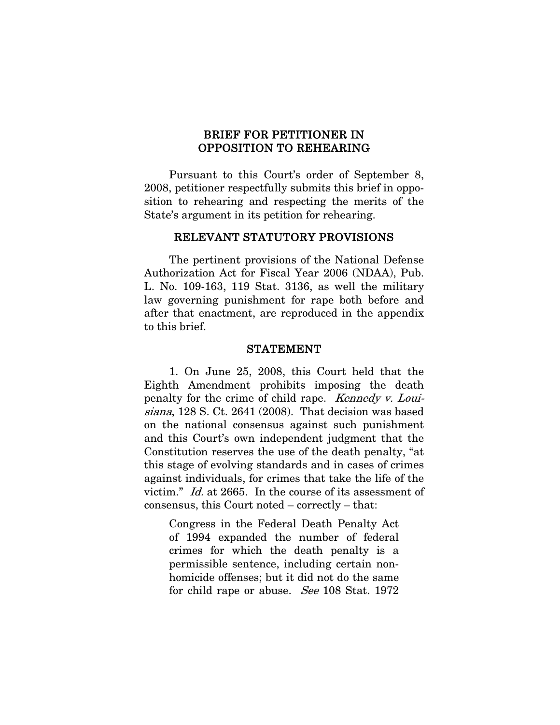### BRIEF FOR PETITIONER IN OPPOSITION TO REHEARING

 Pursuant to this Court's order of September 8, 2008, petitioner respectfully submits this brief in opposition to rehearing and respecting the merits of the State's argument in its petition for rehearing.

#### RELEVANT STATUTORY PROVISIONS

 The pertinent provisions of the National Defense Authorization Act for Fiscal Year 2006 (NDAA), Pub. L. No. 109-163, 119 Stat. 3136, as well the military law governing punishment for rape both before and after that enactment, are reproduced in the appendix to this brief.

#### STATEMENT

1. On June 25, 2008, this Court held that the Eighth Amendment prohibits imposing the death penalty for the crime of child rape. Kennedy v. Louisiana, 128 S. Ct. 2641 (2008). That decision was based on the national consensus against such punishment and this Court's own independent judgment that the Constitution reserves the use of the death penalty, "at this stage of evolving standards and in cases of crimes against individuals, for crimes that take the life of the victim." Id. at 2665. In the course of its assessment of consensus, this Court noted – correctly – that:

Congress in the Federal Death Penalty Act of 1994 expanded the number of federal crimes for which the death penalty is a permissible sentence, including certain nonhomicide offenses; but it did not do the same for child rape or abuse. See 108 Stat. 1972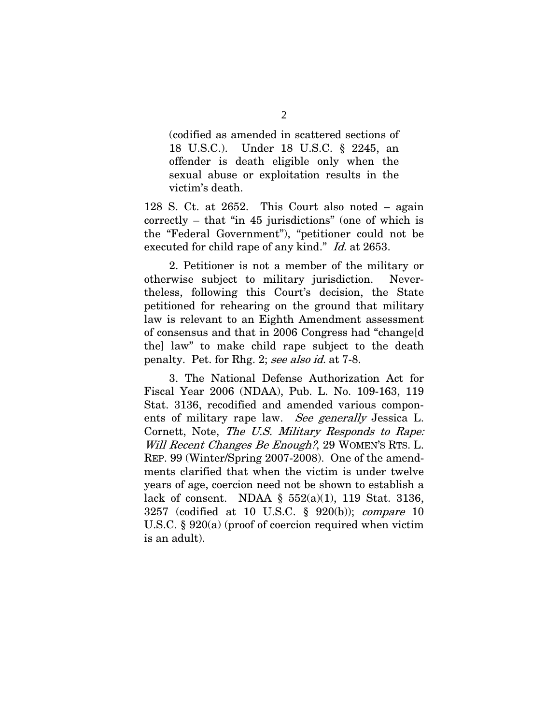(codified as amended in scattered sections of 18 U.S.C.). Under 18 U.S.C. § 2245, an offender is death eligible only when the sexual abuse or exploitation results in the victim's death.

128 S. Ct. at 2652. This Court also noted – again correctly – that "in 45 jurisdictions" (one of which is the "Federal Government"), "petitioner could not be executed for child rape of any kind." *Id.* at 2653.

 2. Petitioner is not a member of the military or otherwise subject to military jurisdiction. Nevertheless, following this Court's decision, the State petitioned for rehearing on the ground that military law is relevant to an Eighth Amendment assessment of consensus and that in 2006 Congress had "change[d the] law" to make child rape subject to the death penalty. Pet. for Rhg. 2; see also id. at 7-8.

 3. The National Defense Authorization Act for Fiscal Year 2006 (NDAA), Pub. L. No. 109-163, 119 Stat. 3136, recodified and amended various components of military rape law. See generally Jessica L. Cornett, Note, The U.S. Military Responds to Rape: Will Recent Changes Be Enough?, 29 WOMEN'S RTS. L. REP. 99 (Winter/Spring 2007-2008). One of the amendments clarified that when the victim is under twelve years of age, coercion need not be shown to establish a lack of consent. NDAA  $\S$  552(a)(1), 119 Stat. 3136, 3257 (codified at 10 U.S.C. § 920(b)); compare 10 U.S.C. § 920(a) (proof of coercion required when victim is an adult).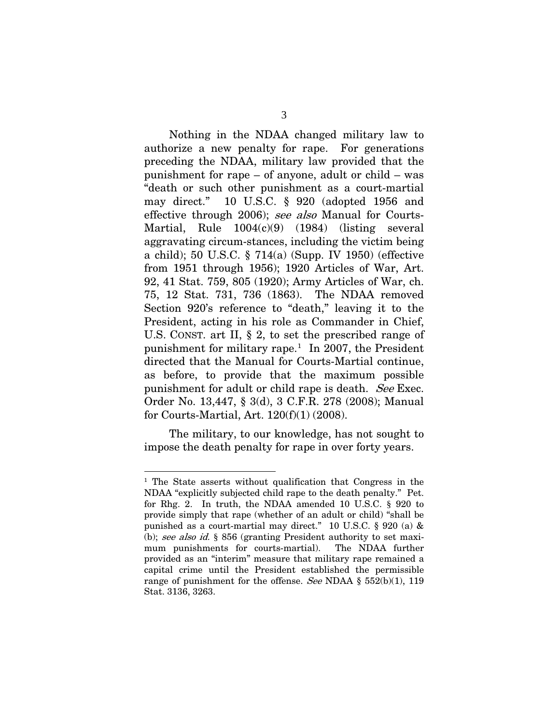Nothing in the NDAA changed military law to authorize a new penalty for rape. For generations preceding the NDAA, military law provided that the punishment for rape – of anyone, adult or child – was "death or such other punishment as a court-martial may direct." 10 U.S.C. § 920 (adopted 1956 and effective through 2006); see also Manual for Courts-Martial, Rule 1004(c)(9) (1984) (listing several aggravating circum-stances, including the victim being a child); 50 U.S.C. § 714(a) (Supp. IV 1950) (effective from 1951 through 1956); 1920 Articles of War, Art. 92, 41 Stat. 759, 805 (1920); Army Articles of War, ch. 75, 12 Stat. 731, 736 (1863). The NDAA removed Section 920's reference to "death," leaving it to the President, acting in his role as Commander in Chief, U.S. CONST. art II, § 2, to set the prescribed range of punishment for military rape.<sup>[1](#page-8-0)</sup> In 2007, the President directed that the Manual for Courts-Martial continue, as before, to provide that the maximum possible punishment for adult or child rape is death. See Exec. Order No. 13,447, § 3(d), 3 C.F.R. 278 (2008); Manual for Courts-Martial, Art. 120(f)(1) (2008).

The military, to our knowledge, has not sought to impose the death penalty for rape in over forty years.

<span id="page-8-0"></span><sup>&</sup>lt;sup>1</sup> The State asserts without qualification that Congress in the NDAA "explicitly subjected child rape to the death penalty." Pet. for Rhg. 2. In truth, the NDAA amended 10 U.S.C. § 920 to provide simply that rape (whether of an adult or child) "shall be punished as a court-martial may direct." 10 U.S.C. § 920 (a) & (b); see also id. § 856 (granting President authority to set maximum punishments for courts-martial). The NDAA further provided as an "interim" measure that military rape remained a capital crime until the President established the permissible range of punishment for the offense. See NDAA  $\S$  552(b)(1), 119 Stat. 3136, 3263.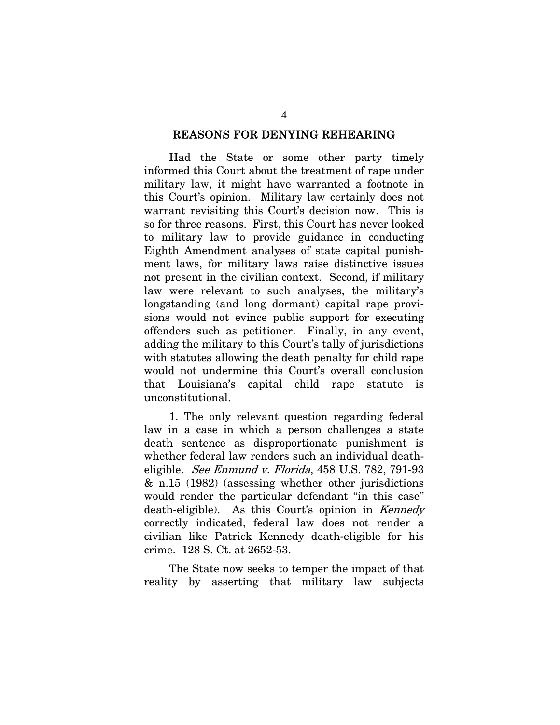#### REASONS FOR DENYING REHEARING

 Had the State or some other party timely informed this Court about the treatment of rape under military law, it might have warranted a footnote in this Court's opinion. Military law certainly does not warrant revisiting this Court's decision now. This is so for three reasons. First, this Court has never looked to military law to provide guidance in conducting Eighth Amendment analyses of state capital punishment laws, for military laws raise distinctive issues not present in the civilian context. Second, if military law were relevant to such analyses, the military's longstanding (and long dormant) capital rape provisions would not evince public support for executing offenders such as petitioner. Finally, in any event, adding the military to this Court's tally of jurisdictions with statutes allowing the death penalty for child rape would not undermine this Court's overall conclusion that Louisiana's capital child rape statute is unconstitutional.

 1. The only relevant question regarding federal law in a case in which a person challenges a state death sentence as disproportionate punishment is whether federal law renders such an individual deatheligible. See Enmund v. Florida, 458 U.S. 782, 791-93 & n.15 (1982) (assessing whether other jurisdictions would render the particular defendant "in this case" death-eligible). As this Court's opinion in Kennedy correctly indicated, federal law does not render a civilian like Patrick Kennedy death-eligible for his crime. 128 S. Ct. at 2652-53.

 The State now seeks to temper the impact of that reality by asserting that military law subjects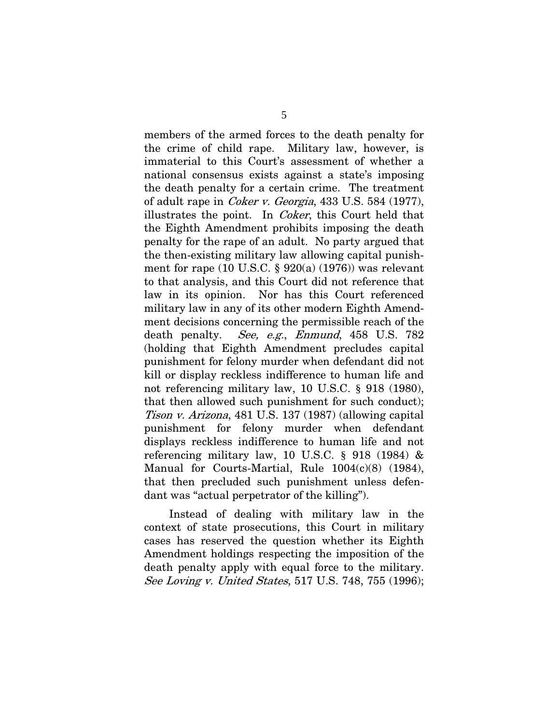members of the armed forces to the death penalty for the crime of child rape. Military law, however, is immaterial to this Court's assessment of whether a national consensus exists against a state's imposing the death penalty for a certain crime. The treatment of adult rape in Coker v. Georgia, 433 U.S. 584 (1977), illustrates the point. In Coker, this Court held that the Eighth Amendment prohibits imposing the death penalty for the rape of an adult. No party argued that the then-existing military law allowing capital punishment for rape (10 U.S.C.  $\S$  920(a) (1976)) was relevant to that analysis, and this Court did not reference that law in its opinion. Nor has this Court referenced military law in any of its other modern Eighth Amendment decisions concerning the permissible reach of the death penalty. *See, e.g., Enmund*, 458 U.S. 782 (holding that Eighth Amendment precludes capital punishment for felony murder when defendant did not kill or display reckless indifference to human life and not referencing military law, 10 U.S.C. § 918 (1980), that then allowed such punishment for such conduct); Tison v. Arizona, 481 U.S. 137 (1987) (allowing capital punishment for felony murder when defendant displays reckless indifference to human life and not referencing military law, 10 U.S.C. § 918 (1984) & Manual for Courts-Martial, Rule 1004(c)(8) (1984), that then precluded such punishment unless defendant was "actual perpetrator of the killing").

 Instead of dealing with military law in the context of state prosecutions, this Court in military cases has reserved the question whether its Eighth Amendment holdings respecting the imposition of the death penalty apply with equal force to the military. See Loving v. United States, 517 U.S. 748, 755 (1996);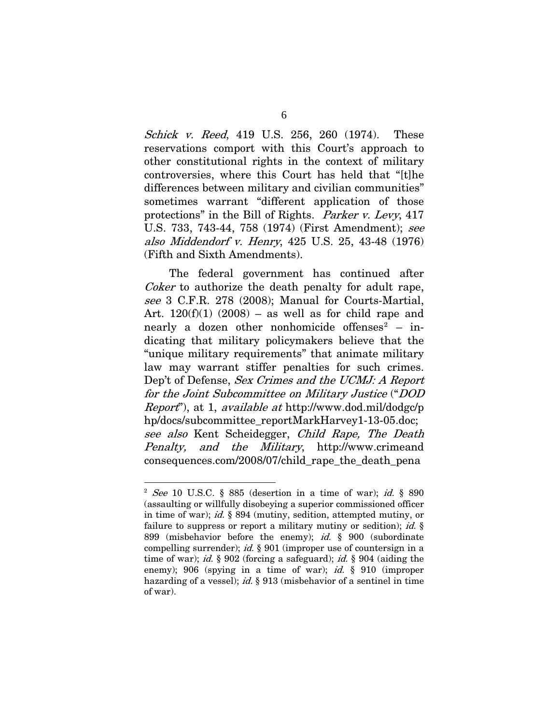Schick v. Reed, 419 U.S. 256, 260 (1974). These reservations comport with this Court's approach to other constitutional rights in the context of military controversies, where this Court has held that "[t]he differences between military and civilian communities" sometimes warrant "different application of those protections" in the Bill of Rights. Parker v. Levy, 417 U.S. 733, 743-44, 758 (1974) (First Amendment); see also Middendorf v. Henry, 425 U.S. 25, 43-48 (1976) (Fifth and Sixth Amendments).

 The federal government has continued after Coker to authorize the death penalty for adult rape, see 3 C.F.R. 278 (2008); Manual for Courts-Martial, Art.  $120(f)(1)$  (2008) – as well as for child rape and nearly a dozen other nonhomicide offenses<sup>[2](#page-11-0)</sup> – indicating that military policymakers believe that the "unique military requirements" that animate military law may warrant stiffer penalties for such crimes. Dep't of Defense, Sex Crimes and the UCMJ: A Report for the Joint Subcommittee on Military Justice ("DOD Report"), at 1, available at http://www.dod.mil/dodgc/p hp/docs/subcommittee\_reportMarkHarvey1-13-05.doc; see also Kent Scheidegger, Child Rape, The Death Penalty, and the Military, http://www.crimeand consequences.com/2008/07/child\_rape\_the\_death\_pena

<span id="page-11-0"></span> $2$  See 10 U.S.C. § 885 (desertion in a time of war); id. § 890 (assaulting or willfully disobeying a superior commissioned officer in time of war); id. § 894 (mutiny, sedition, attempted mutiny, or failure to suppress or report a military mutiny or sedition); *id.*  $\S$ 899 (misbehavior before the enemy); id. § 900 (subordinate compelling surrender); id. § 901 (improper use of countersign in a time of war); id.  $\S 902$  (forcing a safeguard); id.  $\S 904$  (aiding the enemy); 906 (spying in a time of war); *id.* § 910 (improper hazarding of a vessel); id.  $\S$  913 (misbehavior of a sentinel in time of war).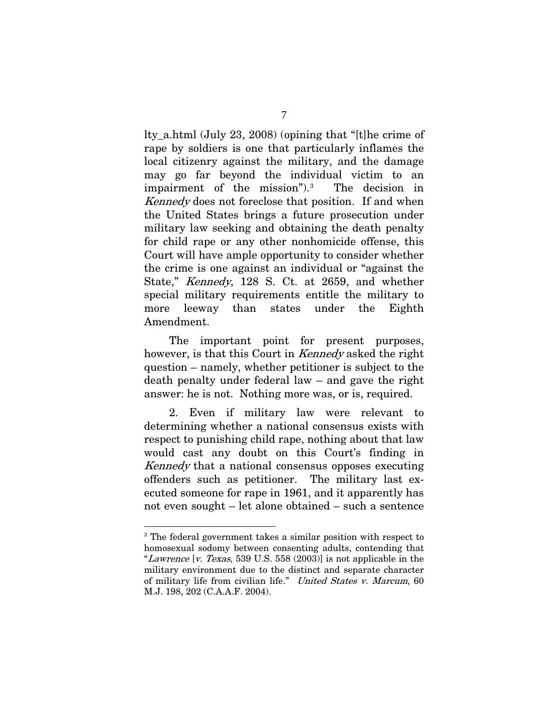lty\_a.html (July 23, 2008) (opining that "[t]he crime of rape by soldiers is one that particularly inflames the local citizenry against the military, and the damage may go far beyond the individual victim to an impairment of the mission").[3](#page-12-0) The decision in Kennedy does not foreclose that position. If and when the United States brings a future prosecution under military law seeking and obtaining the death penalty for child rape or any other nonhomicide offense, this Court will have ample opportunity to consider whether the crime is one against an individual or "against the State," Kennedy, 128 S. Ct. at 2659, and whether special military requirements entitle the military to more leeway than states under the Eighth Amendment.

 The important point for present purposes, however, is that this Court in Kennedy asked the right question – namely, whether petitioner is subject to the death penalty under federal law – and gave the right answer: he is not. Nothing more was, or is, required.

 2. Even if military law were relevant to determining whether a national consensus exists with respect to punishing child rape, nothing about that law would cast any doubt on this Court's finding in Kennedy that a national consensus opposes executing offenders such as petitioner. The military last executed someone for rape in 1961, and it apparently has not even sought – let alone obtained – such a sentence

<span id="page-12-0"></span><sup>&</sup>lt;sup>3</sup> The federal government takes a similar position with respect to homosexual sodomy between consenting adults, contending that "Lawrence [v. Texas, 539 U.S. 558 (2003)] is not applicable in the military environment due to the distinct and separate character of military life from civilian life." United States v. Marcum, 60 M.J. 198, 202 (C.A.A.F. 2004).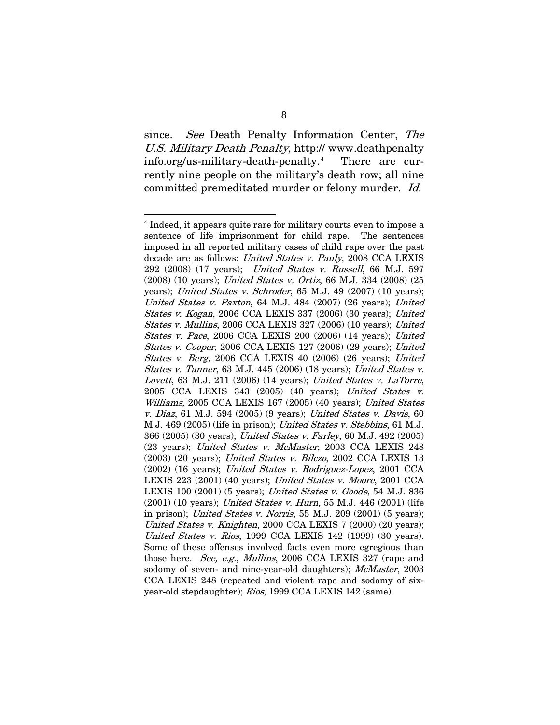since. See Death Penalty Information Center, The U.S. Military Death Penalty, http:// www.deathpenalty info.org/us-military-death-penalty.[4](#page-13-0) There are currently nine people on the military's death row; all nine committed premeditated murder or felony murder. Id.

<span id="page-13-0"></span><sup>&</sup>lt;sup>4</sup> Indeed, it appears quite rare for military courts even to impose a sentence of life imprisonment for child rape. The sentences imposed in all reported military cases of child rape over the past decade are as follows: United States v. Pauly, 2008 CCA LEXIS 292 (2008) (17 years); United States v. Russell, 66 M.J. 597 (2008) (10 years); United States v. Ortiz, 66 M.J. 334 (2008) (25 years); United States v. Schroder, 65 M.J. 49 (2007) (10 years); United States v. Paxton, 64 M.J. 484 (2007) (26 years); United States v. Kogan, 2006 CCA LEXIS 337 (2006) (30 years); United States v. Mullins, 2006 CCA LEXIS 327 (2006) (10 years); United States v. Pace, 2006 CCA LEXIS 200 (2006) (14 years); United States v. Cooper, 2006 CCA LEXIS 127 (2006) (29 years); United States v. Berg, 2006 CCA LEXIS 40 (2006) (26 years); United States v. Tanner, 63 M.J. 445 (2006) (18 years); United States v. Lovett, 63 M.J. 211 (2006) (14 years); United States v. LaTorre, 2005 CCA LEXIS 343 (2005) (40 years); United States v. Williams, 2005 CCA LEXIS 167 (2005) (40 years); United States v. Diaz, 61 M.J. 594 (2005) (9 years); United States v. Davis, 60 M.J. 469 (2005) (life in prison); United States v. Stebbins, 61 M.J. 366 (2005) (30 years); United States v. Farley, 60 M.J. 492 (2005) (23 years); United States v. McMaster, 2003 CCA LEXIS 248 (2003) (20 years); United States v. Bilczo, 2002 CCA LEXIS 13 (2002) (16 years); United States v. Rodriguez-Lopez, 2001 CCA LEXIS 223 (2001) (40 years); United States v. Moore, 2001 CCA LEXIS 100 (2001) (5 years); United States v. Goode, 54 M.J. 836 (2001) (10 years); United States v. Hurn, 55 M.J. 446 (2001) (life in prison); United States v. Norris, 55 M.J. 209 (2001) (5 years); United States v. Knighten, 2000 CCA LEXIS 7 (2000) (20 years); United States v. Rios, 1999 CCA LEXIS 142 (1999) (30 years). Some of these offenses involved facts even more egregious than those here. See, e.g., Mullins, 2006 CCA LEXIS 327 (rape and sodomy of seven- and nine-year-old daughters); McMaster, 2003 CCA LEXIS 248 (repeated and violent rape and sodomy of sixyear-old stepdaughter); Rios, 1999 CCA LEXIS 142 (same).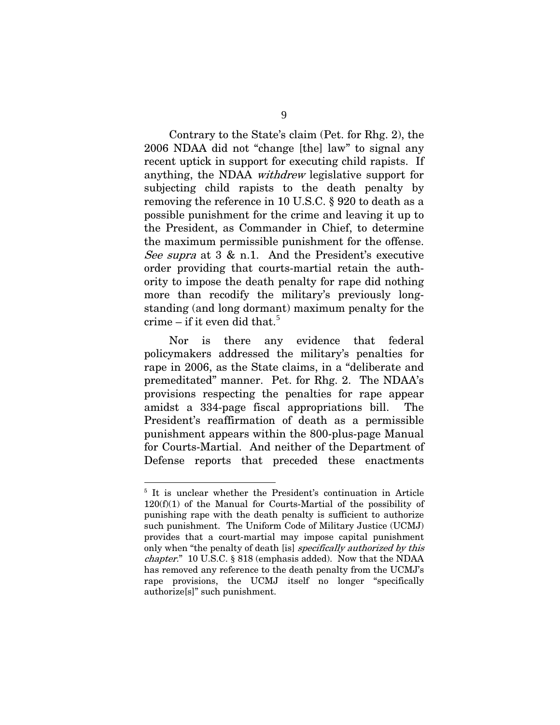Contrary to the State's claim (Pet. for Rhg. 2), the 2006 NDAA did not "change [the] law" to signal any recent uptick in support for executing child rapists. If anything, the NDAA withdrew legislative support for subjecting child rapists to the death penalty by removing the reference in 10 U.S.C. § 920 to death as a possible punishment for the crime and leaving it up to the President, as Commander in Chief, to determine the maximum permissible punishment for the offense. See supra at 3 & n.1. And the President's executive order providing that courts-martial retain the authority to impose the death penalty for rape did nothing more than recodify the military's previously longstanding (and long dormant) maximum penalty for the crime – if it even did that.<sup>[5](#page-14-0)</sup>

 Nor is there any evidence that federal policymakers addressed the military's penalties for rape in 2006, as the State claims, in a "deliberate and premeditated" manner. Pet. for Rhg. 2. The NDAA's provisions respecting the penalties for rape appear amidst a 334-page fiscal appropriations bill. The President's reaffirmation of death as a permissible punishment appears within the 800-plus-page Manual for Courts-Martial. And neither of the Department of Defense reports that preceded these enactments

<span id="page-14-0"></span><sup>&</sup>lt;sup>5</sup> It is unclear whether the President's continuation in Article  $120(f)(1)$  of the Manual for Courts-Martial of the possibility of punishing rape with the death penalty is sufficient to authorize such punishment. The Uniform Code of Military Justice (UCMJ) provides that a court-martial may impose capital punishment only when "the penalty of death [is] specifically authorized by this chapter." 10 U.S.C. § 818 (emphasis added). Now that the NDAA has removed any reference to the death penalty from the UCMJ's rape provisions, the UCMJ itself no longer "specifically authorize[s]" such punishment.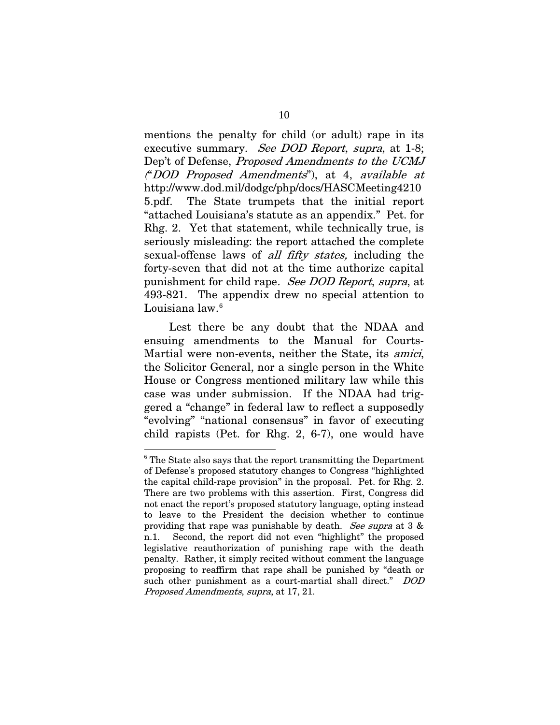mentions the penalty for child (or adult) rape in its executive summary. See DOD Report, supra, at 1-8; Dep't of Defense, Proposed Amendments to the UCMJ ("DOD Proposed Amendments"), at 4, available at http://www.dod.mil/dodgc/php/docs/HASCMeeting4210 5.pdf. The State trumpets that the initial report "attached Louisiana's statute as an appendix." Pet. for Rhg. 2. Yet that statement, while technically true, is seriously misleading: the report attached the complete sexual-offense laws of *all fifty states*, including the forty-seven that did not at the time authorize capital punishment for child rape. See DOD Report, supra, at 493-821. The appendix drew no special attention to Louisiana law.<sup>[6](#page-15-0)</sup>

 Lest there be any doubt that the NDAA and ensuing amendments to the Manual for Courts-Martial were non-events, neither the State, its amici, the Solicitor General, nor a single person in the White House or Congress mentioned military law while this case was under submission. If the NDAA had triggered a "change" in federal law to reflect a supposedly "evolving" "national consensus" in favor of executing child rapists (Pet. for Rhg. 2, 6-7), one would have

<span id="page-15-0"></span> $6$ <sup>6</sup> The State also says that the report transmitting the Department of Defense's proposed statutory changes to Congress "highlighted the capital child-rape provision" in the proposal. Pet. for Rhg. 2. There are two problems with this assertion. First, Congress did not enact the report's proposed statutory language, opting instead to leave to the President the decision whether to continue providing that rape was punishable by death. See supra at  $3 \&$ n.1. Second, the report did not even "highlight" the proposed legislative reauthorization of punishing rape with the death penalty. Rather, it simply recited without comment the language proposing to reaffirm that rape shall be punished by "death or such other punishment as a court-martial shall direct." DOD Proposed Amendments, supra, at 17, 21.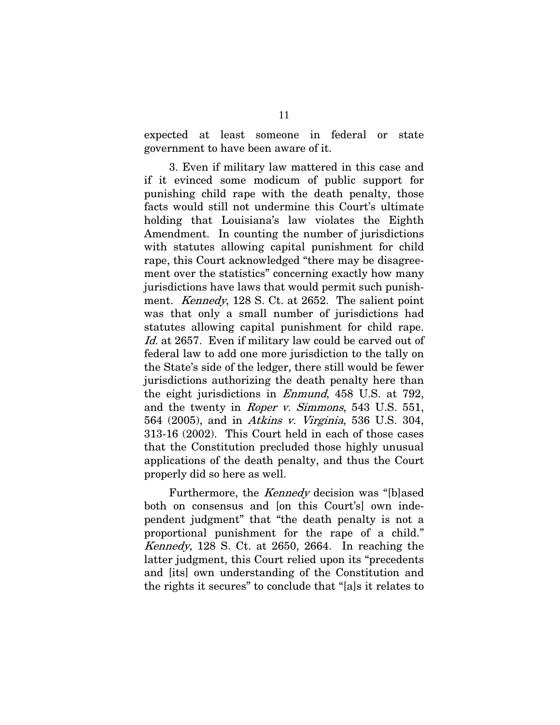expected at least someone in federal or state government to have been aware of it.

 3. Even if military law mattered in this case and if it evinced some modicum of public support for punishing child rape with the death penalty, those facts would still not undermine this Court's ultimate holding that Louisiana's law violates the Eighth Amendment. In counting the number of jurisdictions with statutes allowing capital punishment for child rape, this Court acknowledged "there may be disagreement over the statistics" concerning exactly how many jurisdictions have laws that would permit such punishment. *Kennedy*, 128 S. Ct. at 2652. The salient point was that only a small number of jurisdictions had statutes allowing capital punishment for child rape. Id. at 2657. Even if military law could be carved out of federal law to add one more jurisdiction to the tally on the State's side of the ledger, there still would be fewer jurisdictions authorizing the death penalty here than the eight jurisdictions in Enmund, 458 U.S. at 792, and the twenty in Roper v. Simmons, 543 U.S. 551, 564 (2005), and in Atkins v. Virginia, 536 U.S. 304, 313-16 (2002). This Court held in each of those cases that the Constitution precluded those highly unusual applications of the death penalty, and thus the Court properly did so here as well.

Furthermore, the *Kennedy* decision was "[b]ased both on consensus and [on this Court's] own independent judgment" that "the death penalty is not a proportional punishment for the rape of a child." Kennedy, 128 S. Ct. at 2650, 2664. In reaching the latter judgment, this Court relied upon its "precedents and [its] own understanding of the Constitution and the rights it secures" to conclude that "[a]s it relates to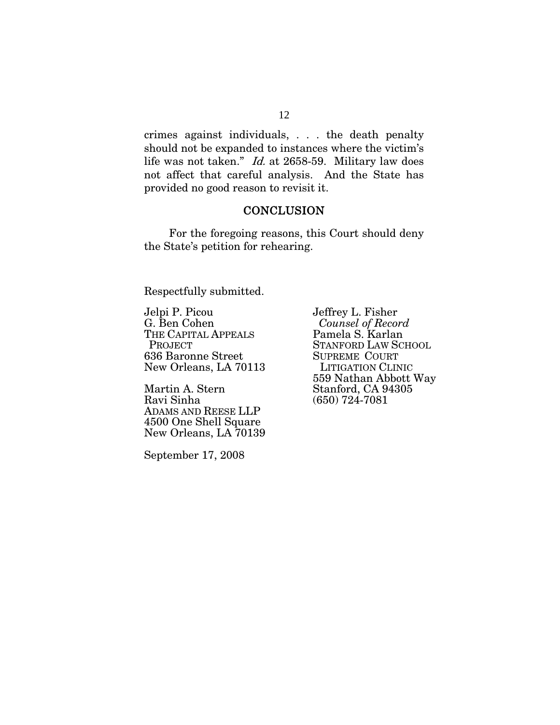crimes against individuals, . . . the death penalty should not be expanded to instances where the victim's life was not taken." Id. at 2658-59. Military law does not affect that careful analysis. And the State has provided no good reason to revisit it.

#### **CONCLUSION**

 For the foregoing reasons, this Court should deny the State's petition for rehearing.

Respectfully submitted.

Jelpi P. Picou G. Ben Cohen THE CAPITAL APPEALS PROJECT 636 Baronne Street New Orleans, LA 70113

Martin A. Stern Ravi Sinha ADAMS AND REESE LLP 4500 One Shell Square New Orleans, LA 70139

September 17, 2008

Jeffrey L. Fisher  *Counsel of Record*  Pamela S. Karlan STANFORD LAW SCHOOL SUPREME COURT LITIGATION CLINIC 559 Nathan Abbott Way Stanford, CA 94305 (650) 724-7081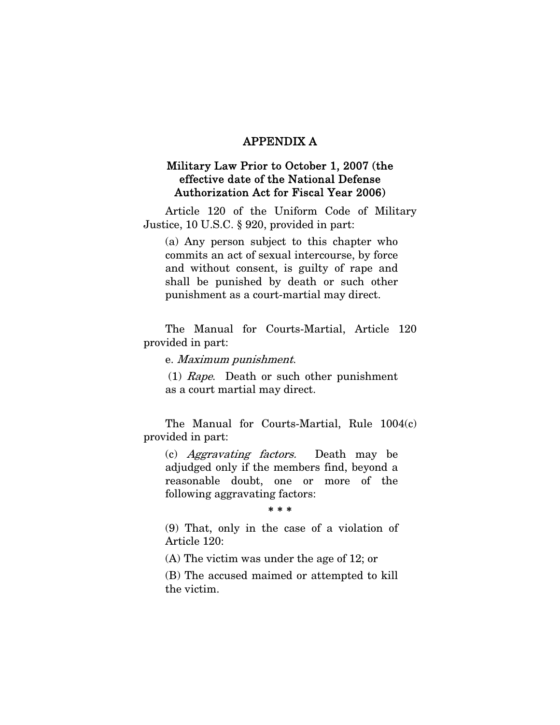## APPENDIX A

## Military Law Prior to October 1, 2007 (the effective date of the National Defense Authorization Act for Fiscal Year 2006)

Article 120 of the Uniform Code of Military Justice, 10 U.S.C. § 920, provided in part:

(a) Any person subject to this chapter who commits an act of sexual intercourse, by force and without consent, is guilty of rape and shall be punished by death or such other punishment as a court-martial may direct.

The Manual for Courts-Martial, Article 120 provided in part:

e. Maximum punishment.

 (1) Rape. Death or such other punishment as a court martial may direct.

The Manual for Courts-Martial, Rule 1004(c) provided in part:

(c) Aggravating factors. Death may be adjudged only if the members find, beyond a reasonable doubt, one or more of the following aggravating factors:

#### \* \* \*

(9) That, only in the case of a violation of Article 120:

(A) The victim was under the age of 12; or

(B) The accused maimed or attempted to kill the victim.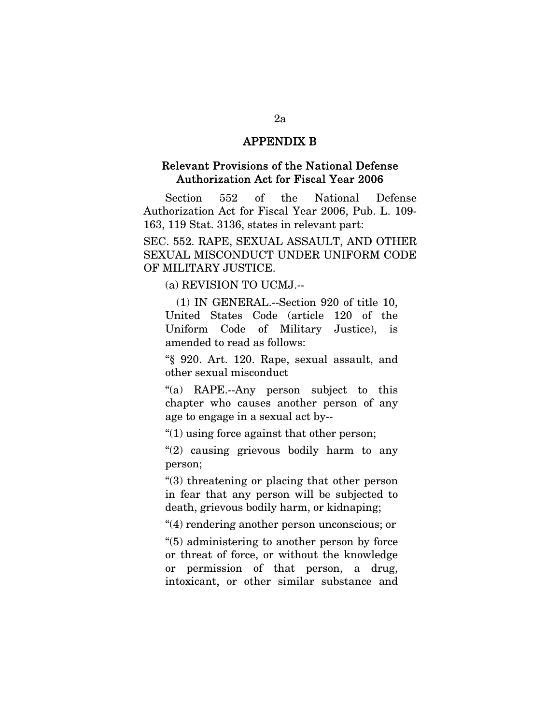### APPENDIX B

### Relevant Provisions of the National Defense Authorization Act for Fiscal Year 2006

Section 552 of the National Defense Authorization Act for Fiscal Year 2006, Pub. L. 109- 163, 119 Stat. 3136, states in relevant part:

SEC. 552. RAPE, SEXUAL ASSAULT, AND OTHER SEXUAL MISCONDUCT UNDER UNIFORM CODE OF MILITARY JUSTICE.

(a) REVISION TO UCMJ.--

(1) IN GENERAL.--Section 920 of title 10, United States Code (article 120 of the Uniform Code of Military Justice), is amended to read as follows:

"§ 920. Art. 120. Rape, sexual assault, and other sexual misconduct

"(a) RAPE.--Any person subject to this chapter who causes another person of any age to engage in a sexual act by--

" $(1)$  using force against that other person;

"(2) causing grievous bodily harm to any person;

"(3) threatening or placing that other person in fear that any person will be subjected to death, grievous bodily harm, or kidnaping;

"(4) rendering another person unconscious; or

"(5) administering to another person by force or threat of force, or without the knowledge or permission of that person, a drug, intoxicant, or other similar substance and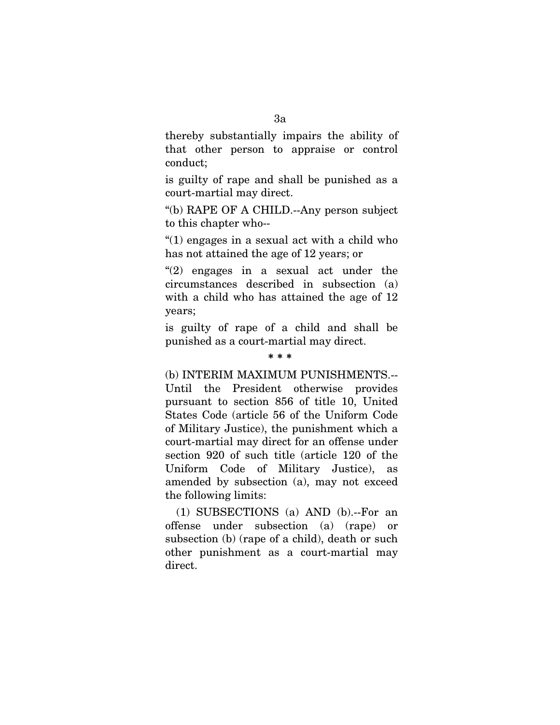thereby substantially impairs the ability of that other person to appraise or control conduct;

is guilty of rape and shall be punished as a court-martial may direct.

"(b) RAPE OF A CHILD.--Any person subject to this chapter who--

"(1) engages in a sexual act with a child who has not attained the age of 12 years; or

"(2) engages in a sexual act under the circumstances described in subsection (a) with a child who has attained the age of 12 years;

is guilty of rape of a child and shall be punished as a court-martial may direct.

#### \* \* \*

(b) INTERIM MAXIMUM PUNISHMENTS.-- Until the President otherwise provides pursuant to section 856 of title 10, United States Code (article 56 of the Uniform Code of Military Justice), the punishment which a court-martial may direct for an offense under section 920 of such title (article 120 of the Uniform Code of Military Justice), as amended by subsection (a), may not exceed the following limits:

(1) SUBSECTIONS (a) AND (b).--For an offense under subsection (a) (rape) or subsection (b) (rape of a child), death or such other punishment as a court-martial may direct.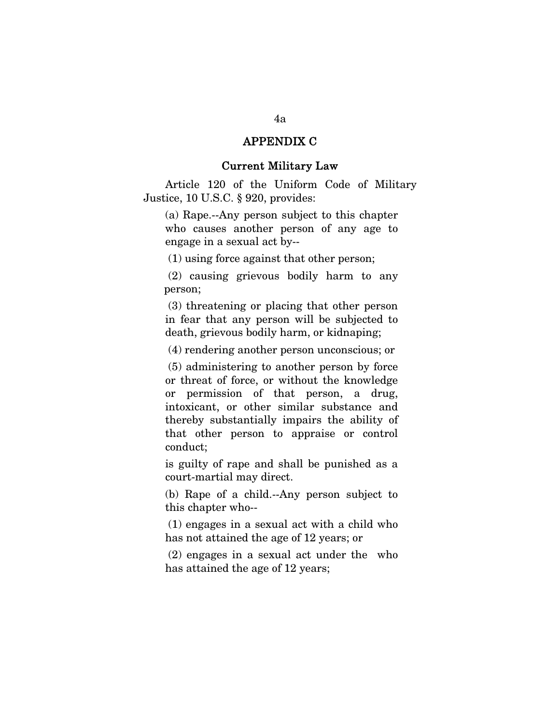## APPENDIX C

#### Current Military Law

Article 120 of the Uniform Code of Military Justice, 10 U.S.C. § 920, provides:

(a) Rape.--Any person subject to this chapter who causes another person of any age to engage in a sexual act by--

(1) using force against that other person;

 (2) causing grievous bodily harm to any person;

 (3) threatening or placing that other person in fear that any person will be subjected to death, grievous bodily harm, or kidnaping;

(4) rendering another person unconscious; or

 (5) administering to another person by force or threat of force, or without the knowledge or permission of that person, a drug, intoxicant, or other similar substance and thereby substantially impairs the ability of that other person to appraise or control conduct;

is guilty of rape and shall be punished as a court-martial may direct.

(b) Rape of a child.--Any person subject to this chapter who--

 (1) engages in a sexual act with a child who has not attained the age of 12 years; or

 (2) engages in a sexual act under the who has attained the age of 12 years;